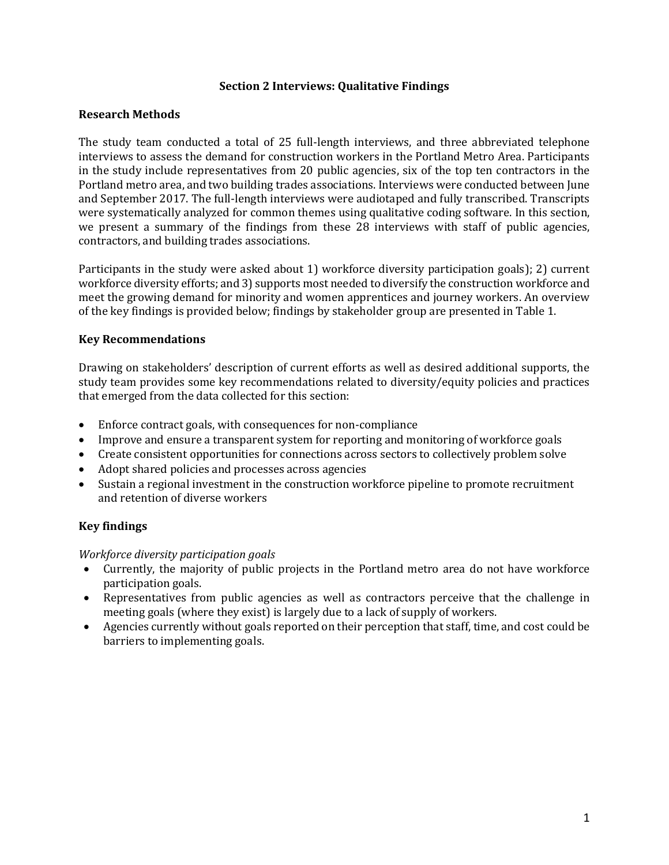## **Section 2 Interviews: Qualitative Findings**

## **Research Methods**

The study team conducted a total of 25 full-length interviews, and three abbreviated telephone interviews to assess the demand for construction workers in the Portland Metro Area. Participants in the study include representatives from 20 public agencies, six of the top ten contractors in the Portland metro area, and two building trades associations. Interviews were conducted between June and September 2017. The full-length interviews were audiotaped and fully transcribed. Transcripts were systematically analyzed for common themes using qualitative coding software. In this section, we present a summary of the findings from these 28 interviews with staff of public agencies, contractors, and building trades associations.

Participants in the study were asked about 1) workforce diversity participation goals); 2) current workforce diversity efforts; and 3) supports most needed to diversify the construction workforce and meet the growing demand for minority and women apprentices and journey workers. An overview of the key findings is provided below; findings by stakeholder group are presented in Table 1.

## **Key Recommendations**

Drawing on stakeholders' description of current efforts as well as desired additional supports, the study team provides some key recommendations related to diversity/equity policies and practices that emerged from the data collected for this section:

- Enforce contract goals, with consequences for non-compliance
- Improve and ensure a transparent system for reporting and monitoring of workforce goals
- Create consistent opportunities for connections across sectors to collectively problem solve
- Adopt shared policies and processes across agencies
- Sustain a regional investment in the construction workforce pipeline to promote recruitment and retention of diverse workers

# **Key findings**

#### *Workforce diversity participation goals*

- Currently, the majority of public projects in the Portland metro area do not have workforce participation goals.
- Representatives from public agencies as well as contractors perceive that the challenge in meeting goals (where they exist) is largely due to a lack of supply of workers.
- Agencies currently without goals reported on their perception that staff, time, and cost could be barriers to implementing goals.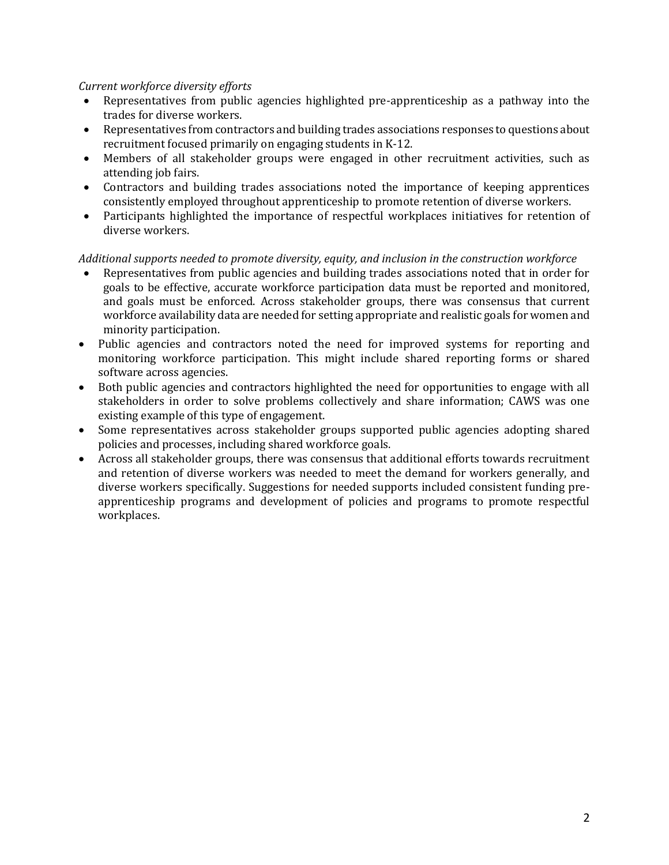## *Current workforce diversity efforts*

- Representatives from public agencies highlighted pre-apprenticeship as a pathway into the trades for diverse workers.
- Representatives from contractors and building trades associations responses to questions about recruitment focused primarily on engaging students in K-12.
- Members of all stakeholder groups were engaged in other recruitment activities, such as attending job fairs.
- Contractors and building trades associations noted the importance of keeping apprentices consistently employed throughout apprenticeship to promote retention of diverse workers.
- Participants highlighted the importance of respectful workplaces initiatives for retention of diverse workers.

## *Additional supports needed to promote diversity, equity, and inclusion in the construction workforce*

- Representatives from public agencies and building trades associations noted that in order for goals to be effective, accurate workforce participation data must be reported and monitored, and goals must be enforced. Across stakeholder groups, there was consensus that current workforce availability data are needed for setting appropriate and realistic goals for women and minority participation.
- Public agencies and contractors noted the need for improved systems for reporting and monitoring workforce participation. This might include shared reporting forms or shared software across agencies.
- Both public agencies and contractors highlighted the need for opportunities to engage with all stakeholders in order to solve problems collectively and share information; CAWS was one existing example of this type of engagement.
- Some representatives across stakeholder groups supported public agencies adopting shared policies and processes, including shared workforce goals.
- Across all stakeholder groups, there was consensus that additional efforts towards recruitment and retention of diverse workers was needed to meet the demand for workers generally, and diverse workers specifically. Suggestions for needed supports included consistent funding preapprenticeship programs and development of policies and programs to promote respectful workplaces.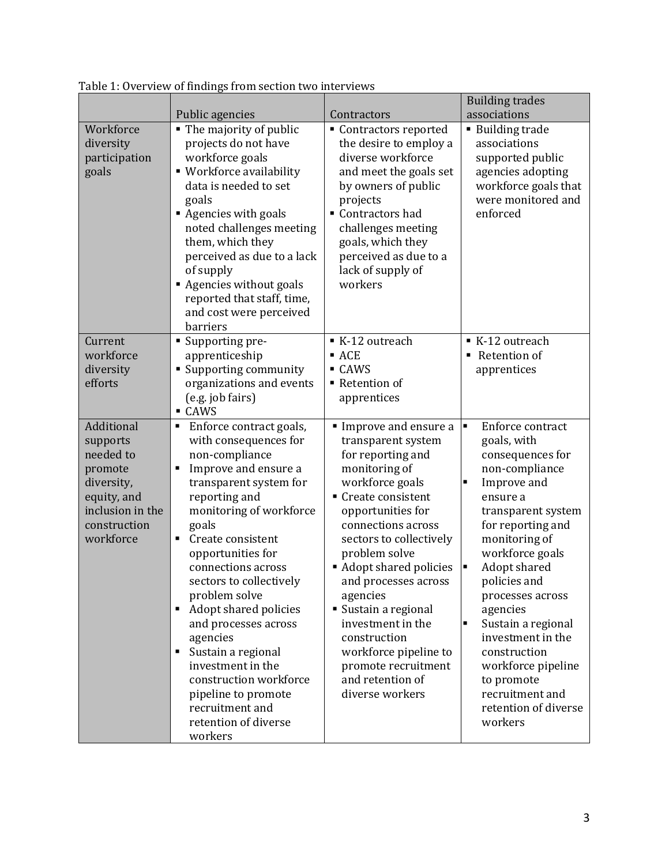|                                                                                                                              | Public agencies                                                                                                                                                                                                                                                                                                                                                                                                                                                                                                                       | Contractors                                                                                                                                                                                                                                                                                                                                                                                                                        | <b>Building trades</b><br>associations                                                                                                                                                                                                                                                                                                                                                                                                             |
|------------------------------------------------------------------------------------------------------------------------------|---------------------------------------------------------------------------------------------------------------------------------------------------------------------------------------------------------------------------------------------------------------------------------------------------------------------------------------------------------------------------------------------------------------------------------------------------------------------------------------------------------------------------------------|------------------------------------------------------------------------------------------------------------------------------------------------------------------------------------------------------------------------------------------------------------------------------------------------------------------------------------------------------------------------------------------------------------------------------------|----------------------------------------------------------------------------------------------------------------------------------------------------------------------------------------------------------------------------------------------------------------------------------------------------------------------------------------------------------------------------------------------------------------------------------------------------|
| Workforce<br>diversity<br>participation<br>goals                                                                             | • The majority of public<br>projects do not have<br>workforce goals<br>• Workforce availability<br>data is needed to set<br>goals<br>Agencies with goals<br>noted challenges meeting<br>them, which they<br>perceived as due to a lack<br>of supply<br>Agencies without goals<br>reported that staff, time,<br>and cost were perceived<br>barriers                                                                                                                                                                                    | Contractors reported<br>the desire to employ a<br>diverse workforce<br>and meet the goals set<br>by owners of public<br>projects<br>Contractors had<br>challenges meeting<br>goals, which they<br>perceived as due to a<br>lack of supply of<br>workers                                                                                                                                                                            | <b>Building trade</b><br>associations<br>supported public<br>agencies adopting<br>workforce goals that<br>were monitored and<br>enforced                                                                                                                                                                                                                                                                                                           |
| Current<br>workforce<br>diversity<br>efforts                                                                                 | • Supporting pre-<br>apprenticeship<br>• Supporting community<br>organizations and events<br>(e.g. job fairs)<br>- CAWS                                                                                                                                                                                                                                                                                                                                                                                                               | K-12 outreach<br>$-$ ACE<br>• CAWS<br>■ Retention of<br>apprentices                                                                                                                                                                                                                                                                                                                                                                | ■ K-12 outreach<br>Retention of<br>apprentices                                                                                                                                                                                                                                                                                                                                                                                                     |
| Additional<br>supports<br>needed to<br>promote<br>diversity,<br>equity, and<br>inclusion in the<br>construction<br>workforce | Enforce contract goals,<br>$\blacksquare$<br>with consequences for<br>non-compliance<br>Improve and ensure a<br>٠<br>transparent system for<br>reporting and<br>monitoring of workforce<br>goals<br>Create consistent<br>٠<br>opportunities for<br>connections across<br>sectors to collectively<br>problem solve<br>Adopt shared policies<br>п<br>and processes across<br>agencies<br>Sustain a regional<br>investment in the<br>construction workforce<br>pipeline to promote<br>recruitment and<br>retention of diverse<br>workers | Improve and ensure a<br>transparent system<br>for reporting and<br>monitoring of<br>workforce goals<br>• Create consistent<br>opportunities for<br>connections across<br>sectors to collectively<br>problem solve<br>• Adopt shared policies<br>and processes across<br>agencies<br>Sustain a regional<br>investment in the<br>construction<br>workforce pipeline to<br>promote recruitment<br>and retention of<br>diverse workers | $\blacksquare$<br>Enforce contract<br>goals, with<br>consequences for<br>non-compliance<br>Improve and<br>$\blacksquare$<br>ensure a<br>transparent system<br>for reporting and<br>monitoring of<br>workforce goals<br>Adopt shared<br>٠<br>policies and<br>processes across<br>agencies<br>Sustain a regional<br>٠<br>investment in the<br>construction<br>workforce pipeline<br>to promote<br>recruitment and<br>retention of diverse<br>workers |

Table 1: Overview of findings from section two interviews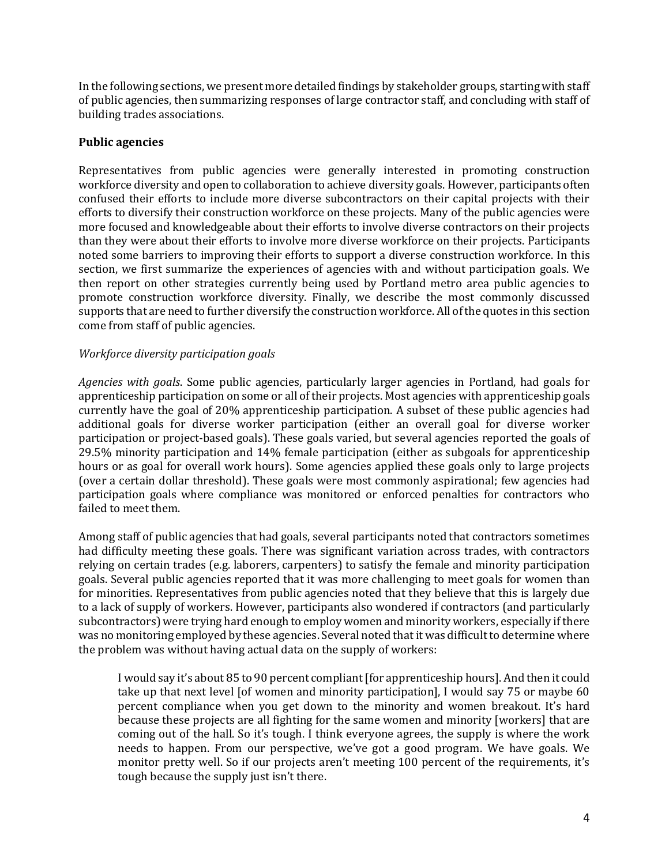In the following sections, we present more detailed findings by stakeholder groups, starting with staff of public agencies, then summarizing responses of large contractor staff, and concluding with staff of building trades associations.

## **Public agencies**

Representatives from public agencies were generally interested in promoting construction workforce diversity and open to collaboration to achieve diversity goals. However, participants often confused their efforts to include more diverse subcontractors on their capital projects with their efforts to diversify their construction workforce on these projects. Many of the public agencies were more focused and knowledgeable about their efforts to involve diverse contractors on their projects than they were about their efforts to involve more diverse workforce on their projects. Participants noted some barriers to improving their efforts to support a diverse construction workforce. In this section, we first summarize the experiences of agencies with and without participation goals. We then report on other strategies currently being used by Portland metro area public agencies to promote construction workforce diversity. Finally, we describe the most commonly discussed supports that are need to further diversify the construction workforce. All of the quotes in this section come from staff of public agencies.

## *Workforce diversity participation goals*

*Agencies with goals*. Some public agencies, particularly larger agencies in Portland, had goals for apprenticeship participation on some or all of their projects. Most agencies with apprenticeship goals currently have the goal of 20% apprenticeship participation. A subset of these public agencies had additional goals for diverse worker participation (either an overall goal for diverse worker participation or project-based goals). These goals varied, but several agencies reported the goals of 29.5% minority participation and 14% female participation (either as subgoals for apprenticeship hours or as goal for overall work hours). Some agencies applied these goals only to large projects (over a certain dollar threshold). These goals were most commonly aspirational; few agencies had participation goals where compliance was monitored or enforced penalties for contractors who failed to meet them.

Among staff of public agencies that had goals, several participants noted that contractors sometimes had difficulty meeting these goals. There was significant variation across trades, with contractors relying on certain trades (e.g. laborers, carpenters) to satisfy the female and minority participation goals. Several public agencies reported that it was more challenging to meet goals for women than for minorities. Representatives from public agencies noted that they believe that this is largely due to a lack of supply of workers. However, participants also wondered if contractors (and particularly subcontractors) were trying hard enough to employ women and minority workers, especially if there was no monitoring employed by these agencies. Several noted that it was difficult to determine where the problem was without having actual data on the supply of workers:

I would say it's about 85 to 90 percent compliant [for apprenticeship hours]. And then it could take up that next level [of women and minority participation], I would say 75 or maybe 60 percent compliance when you get down to the minority and women breakout. It's hard because these projects are all fighting for the same women and minority [workers] that are coming out of the hall. So it's tough. I think everyone agrees, the supply is where the work needs to happen. From our perspective, we've got a good program. We have goals. We monitor pretty well. So if our projects aren't meeting 100 percent of the requirements, it's tough because the supply just isn't there.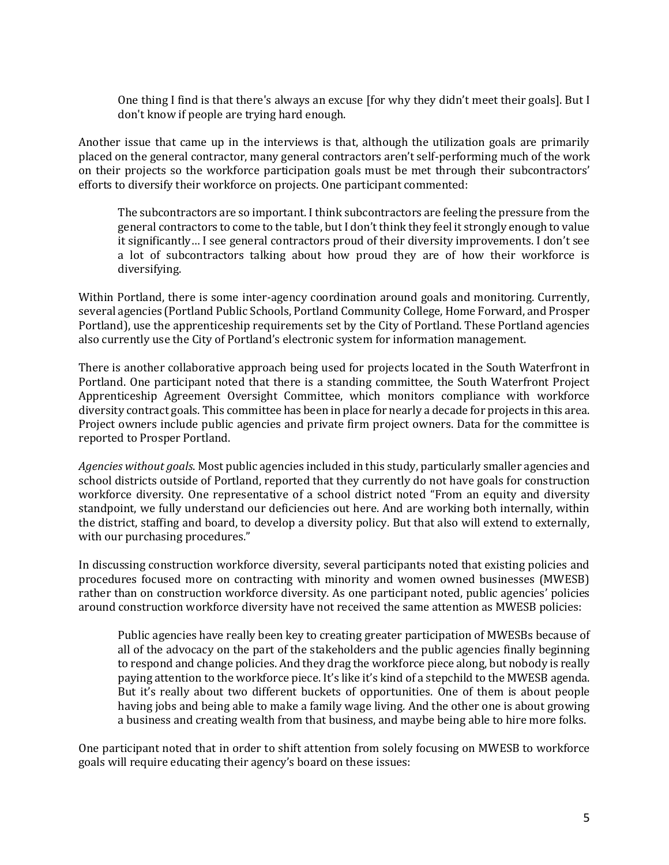One thing I find is that there's always an excuse [for why they didn't meet their goals]. But I don't know if people are trying hard enough.

Another issue that came up in the interviews is that, although the utilization goals are primarily placed on the general contractor, many general contractors aren't self-performing much of the work on their projects so the workforce participation goals must be met through their subcontractors' efforts to diversify their workforce on projects. One participant commented:

The subcontractors are so important. I think subcontractors are feeling the pressure from the general contractors to come to the table, but I don't think they feel it strongly enough to value it significantly… I see general contractors proud of their diversity improvements. I don't see a lot of subcontractors talking about how proud they are of how their workforce is diversifying.

Within Portland, there is some inter-agency coordination around goals and monitoring. Currently, several agencies (Portland Public Schools, Portland Community College, Home Forward, and Prosper Portland), use the apprenticeship requirements set by the City of Portland. These Portland agencies also currently use the City of Portland's electronic system for information management.

There is another collaborative approach being used for projects located in the South Waterfront in Portland. One participant noted that there is a standing committee, the South Waterfront Project Apprenticeship Agreement Oversight Committee, which monitors compliance with workforce diversity contract goals. This committee has been in place for nearly a decade for projects in this area. Project owners include public agencies and private firm project owners. Data for the committee is reported to Prosper Portland.

*Agencies without goals*. Most public agencies included in this study, particularly smaller agencies and school districts outside of Portland, reported that they currently do not have goals for construction workforce diversity. One representative of a school district noted "From an equity and diversity standpoint, we fully understand our deficiencies out here. And are working both internally, within the district, staffing and board, to develop a diversity policy. But that also will extend to externally, with our purchasing procedures."

In discussing construction workforce diversity, several participants noted that existing policies and procedures focused more on contracting with minority and women owned businesses (MWESB) rather than on construction workforce diversity. As one participant noted, public agencies' policies around construction workforce diversity have not received the same attention as MWESB policies:

Public agencies have really been key to creating greater participation of MWESBs because of all of the advocacy on the part of the stakeholders and the public agencies finally beginning to respond and change policies. And they drag the workforce piece along, but nobody is really paying attention to the workforce piece. It's like it's kind of a stepchild to the MWESB agenda. But it's really about two different buckets of opportunities. One of them is about people having jobs and being able to make a family wage living. And the other one is about growing a business and creating wealth from that business, and maybe being able to hire more folks.

One participant noted that in order to shift attention from solely focusing on MWESB to workforce goals will require educating their agency's board on these issues: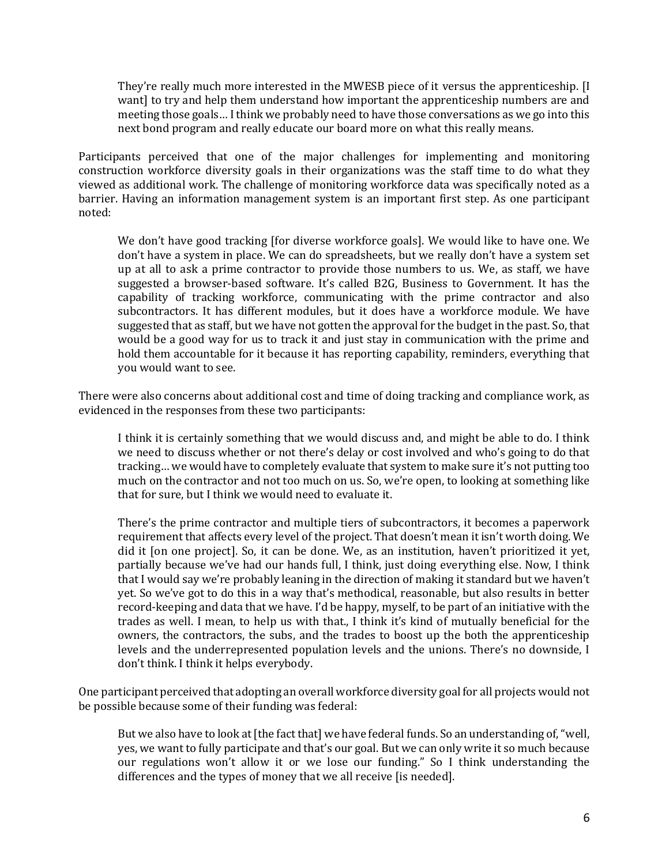They're really much more interested in the MWESB piece of it versus the apprenticeship. [I want] to try and help them understand how important the apprenticeship numbers are and meeting those goals… I think we probably need to have those conversations as we go into this next bond program and really educate our board more on what this really means.

Participants perceived that one of the major challenges for implementing and monitoring construction workforce diversity goals in their organizations was the staff time to do what they viewed as additional work. The challenge of monitoring workforce data was specifically noted as a barrier. Having an information management system is an important first step. As one participant noted:

We don't have good tracking [for diverse workforce goals]. We would like to have one. We don't have a system in place. We can do spreadsheets, but we really don't have a system set up at all to ask a prime contractor to provide those numbers to us. We, as staff, we have suggested a browser-based software. It's called B2G, Business to Government. It has the capability of tracking workforce, communicating with the prime contractor and also subcontractors. It has different modules, but it does have a workforce module. We have suggested that as staff, but we have not gotten the approval for the budget in the past. So, that would be a good way for us to track it and just stay in communication with the prime and hold them accountable for it because it has reporting capability, reminders, everything that you would want to see.

There were also concerns about additional cost and time of doing tracking and compliance work, as evidenced in the responses from these two participants:

I think it is certainly something that we would discuss and, and might be able to do. I think we need to discuss whether or not there's delay or cost involved and who's going to do that tracking… we would have to completely evaluate that system to make sure it's not putting too much on the contractor and not too much on us. So, we're open, to looking at something like that for sure, but I think we would need to evaluate it.

There's the prime contractor and multiple tiers of subcontractors, it becomes a paperwork requirement that affects every level of the project. That doesn't mean it isn't worth doing. We did it [on one project]. So, it can be done. We, as an institution, haven't prioritized it yet, partially because we've had our hands full, I think, just doing everything else. Now, I think that I would say we're probably leaning in the direction of making it standard but we haven't yet. So we've got to do this in a way that's methodical, reasonable, but also results in better record-keeping and data that we have. I'd be happy, myself, to be part of an initiative with the trades as well. I mean, to help us with that., I think it's kind of mutually beneficial for the owners, the contractors, the subs, and the trades to boost up the both the apprenticeship levels and the underrepresented population levels and the unions. There's no downside, I don't think. I think it helps everybody.

One participant perceived that adopting an overall workforce diversity goal for all projects would not be possible because some of their funding was federal:

But we also have to look at [the fact that] we have federal funds. So an understanding of, "well, yes, we want to fully participate and that's our goal. But we can only write it so much because our regulations won't allow it or we lose our funding." So I think understanding the differences and the types of money that we all receive [is needed].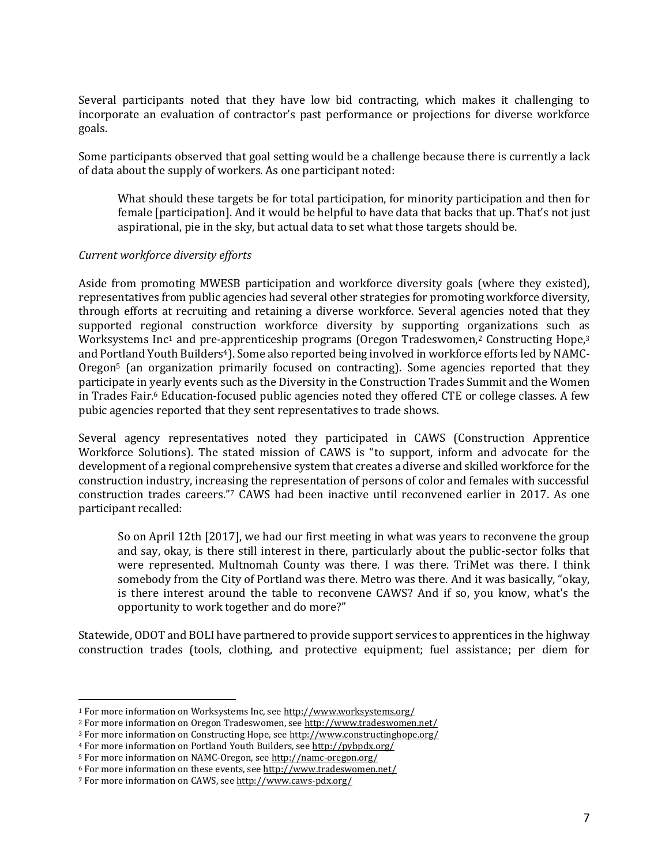Several participants noted that they have low bid contracting, which makes it challenging to incorporate an evaluation of contractor's past performance or projections for diverse workforce goals.

Some participants observed that goal setting would be a challenge because there is currently a lack of data about the supply of workers. As one participant noted:

What should these targets be for total participation, for minority participation and then for female [participation]. And it would be helpful to have data that backs that up. That's not just aspirational, pie in the sky, but actual data to set what those targets should be.

#### *Current workforce diversity efforts*

Aside from promoting MWESB participation and workforce diversity goals (where they existed), representatives from public agencies had several other strategies for promoting workforce diversity, through efforts at recruiting and retaining a diverse workforce. Several agencies noted that they supported regional construction workforce diversity by supporting organizations such as Worksystems Inc<sup>1</sup> and pre-apprenticeship programs (Oregon Tradeswomen,<sup>2</sup> Constructing Hope,<sup>3</sup> and Portland Youth Builders<sup>4</sup>). Some also reported being involved in workforce efforts led by NAMC-Oregon<sup>5</sup> (an organization primarily focused on contracting). Some agencies reported that they participate in yearly events such as the Diversity in the Construction Trades Summit and the Women in Trades Fair.<sup>6</sup> Education-focused public agencies noted they offered CTE or college classes. A few pubic agencies reported that they sent representatives to trade shows.

Several agency representatives noted they participated in CAWS (Construction Apprentice Workforce Solutions). The stated mission of CAWS is "to support, inform and advocate for the development of a regional comprehensive system that creates a diverse and skilled workforce for the construction industry, increasing the representation of persons of color and females with successful construction trades careers."<sup>7</sup> CAWS had been inactive until reconvened earlier in 2017. As one participant recalled:

So on April 12th [2017], we had our first meeting in what was years to reconvene the group and say, okay, is there still interest in there, particularly about the public-sector folks that were represented. Multnomah County was there. I was there. TriMet was there. I think somebody from the City of Portland was there. Metro was there. And it was basically, "okay, is there interest around the table to reconvene CAWS? And if so, you know, what's the opportunity to work together and do more?"

Statewide, ODOT and BOLI have partnered to provide support services to apprentices in the highway construction trades (tools, clothing, and protective equipment; fuel assistance; per diem for

 $\overline{a}$ 

<sup>1</sup> For more information on Worksystems Inc, se[e http://www.worksystems.org/](http://www.worksystems.org/)

<sup>2</sup> For more information on Oregon Tradeswomen, se[e http://www.tradeswomen.net/](http://www.tradeswomen.net/)

<sup>3</sup> For more information on Constructing Hope, se[e http://www.constructinghope.org/](http://www.constructinghope.org/)

<sup>4</sup> For more information on Portland Youth Builders, see<http://pybpdx.org/>

<sup>5</sup> For more information on NAMC-Oregon, se[e http://namc-oregon.org/](http://namc-oregon.org/)

<sup>6</sup> For more information on these events, se[e http://www.tradeswomen.net/](http://www.tradeswomen.net/)

<sup>7</sup> For more information on CAWS, se[e http://www.caws-pdx.org/](http://www.caws-pdx.org/)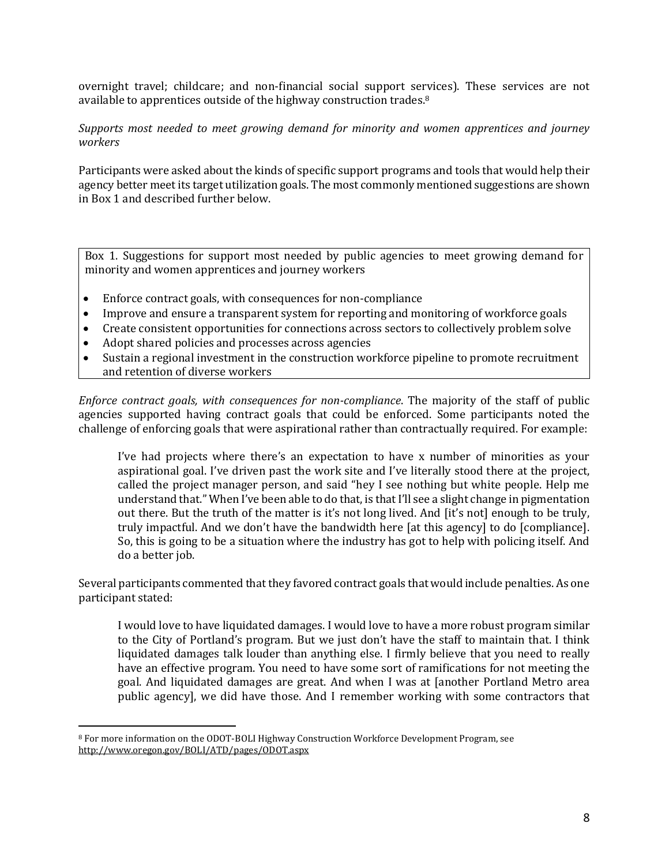overnight travel; childcare; and non-financial social support services). These services are not available to apprentices outside of the highway construction trades.<sup>8</sup>

*Supports most needed to meet growing demand for minority and women apprentices and journey workers*

Participants were asked about the kinds of specific support programs and tools that would help their agency better meet its target utilization goals. The most commonly mentioned suggestions are shown in Box 1 and described further below.

Box 1. Suggestions for support most needed by public agencies to meet growing demand for minority and women apprentices and journey workers

- Enforce contract goals, with consequences for non-compliance
- Improve and ensure a transparent system for reporting and monitoring of workforce goals
- Create consistent opportunities for connections across sectors to collectively problem solve
- Adopt shared policies and processes across agencies
- Sustain a regional investment in the construction workforce pipeline to promote recruitment and retention of diverse workers

*Enforce contract goals, with consequences for non-compliance*. The majority of the staff of public agencies supported having contract goals that could be enforced. Some participants noted the challenge of enforcing goals that were aspirational rather than contractually required. For example:

I've had projects where there's an expectation to have x number of minorities as your aspirational goal. I've driven past the work site and I've literally stood there at the project, called the project manager person, and said "hey I see nothing but white people. Help me understand that." When I've been able to do that, is that I'll see a slight change in pigmentation out there. But the truth of the matter is it's not long lived. And [it's not] enough to be truly, truly impactful. And we don't have the bandwidth here [at this agency] to do [compliance]. So, this is going to be a situation where the industry has got to help with policing itself. And do a better job.

Several participants commented that they favored contract goals that would include penalties. As one participant stated:

I would love to have liquidated damages. I would love to have a more robust program similar to the City of Portland's program. But we just don't have the staff to maintain that. I think liquidated damages talk louder than anything else. I firmly believe that you need to really have an effective program. You need to have some sort of ramifications for not meeting the goal. And liquidated damages are great. And when I was at [another Portland Metro area public agency], we did have those. And I remember working with some contractors that

 $\overline{a}$ <sup>8</sup> For more information on the ODOT-BOLI Highway Construction Workforce Development Program, see <http://www.oregon.gov/BOLI/ATD/pages/ODOT.aspx>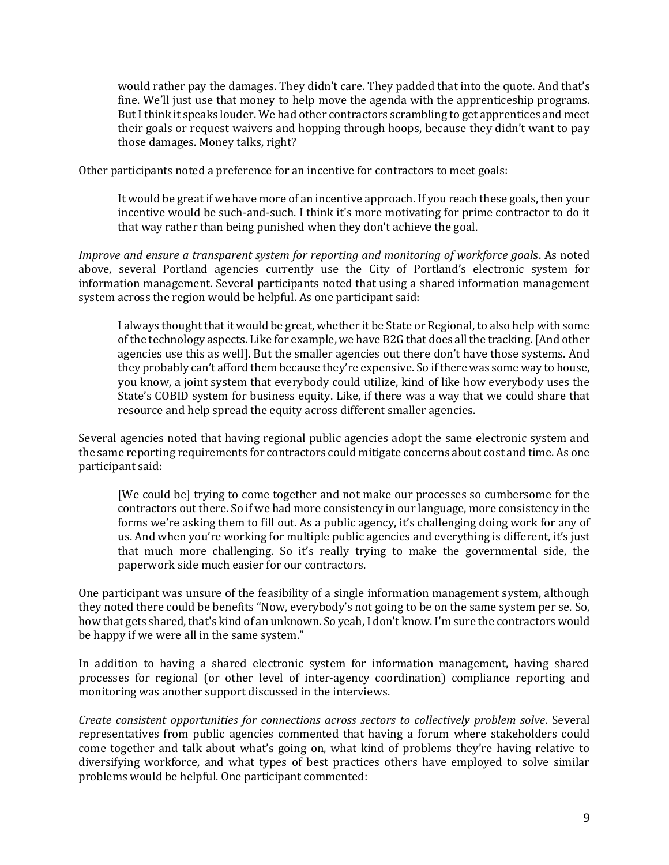would rather pay the damages. They didn't care. They padded that into the quote. And that's fine. We'll just use that money to help move the agenda with the apprenticeship programs. But I think it speaks louder. We had other contractors scrambling to get apprentices and meet their goals or request waivers and hopping through hoops, because they didn't want to pay those damages. Money talks, right?

Other participants noted a preference for an incentive for contractors to meet goals:

It would be great if we have more of an incentive approach. If you reach these goals, then your incentive would be such-and-such. I think it's more motivating for prime contractor to do it that way rather than being punished when they don't achieve the goal.

*Improve and ensure a transparent system for reporting and monitoring of workforce goal*s. As noted above, several Portland agencies currently use the City of Portland's electronic system for information management. Several participants noted that using a shared information management system across the region would be helpful. As one participant said:

I always thought that it would be great, whether it be State or Regional, to also help with some of the technology aspects. Like for example, we have B2G that does all the tracking. [And other agencies use this as well]. But the smaller agencies out there don't have those systems. And they probably can't afford them because they're expensive. So if there was some way to house, you know, a joint system that everybody could utilize, kind of like how everybody uses the State's COBID system for business equity. Like, if there was a way that we could share that resource and help spread the equity across different smaller agencies.

Several agencies noted that having regional public agencies adopt the same electronic system and the same reporting requirements for contractors could mitigate concerns about cost and time. As one participant said:

[We could be] trying to come together and not make our processes so cumbersome for the contractors out there. So if we had more consistency in our language, more consistency in the forms we're asking them to fill out. As a public agency, it's challenging doing work for any of us. And when you're working for multiple public agencies and everything is different, it's just that much more challenging. So it's really trying to make the governmental side, the paperwork side much easier for our contractors.

One participant was unsure of the feasibility of a single information management system, although they noted there could be benefits "Now, everybody's not going to be on the same system per se. So, how that gets shared, that's kind of an unknown. So yeah, I don't know. I'm sure the contractors would be happy if we were all in the same system."

In addition to having a shared electronic system for information management, having shared processes for regional (or other level of inter-agency coordination) compliance reporting and monitoring was another support discussed in the interviews.

*Create consistent opportunities for connections across sectors to collectively problem solve*. Several representatives from public agencies commented that having a forum where stakeholders could come together and talk about what's going on, what kind of problems they're having relative to diversifying workforce, and what types of best practices others have employed to solve similar problems would be helpful. One participant commented: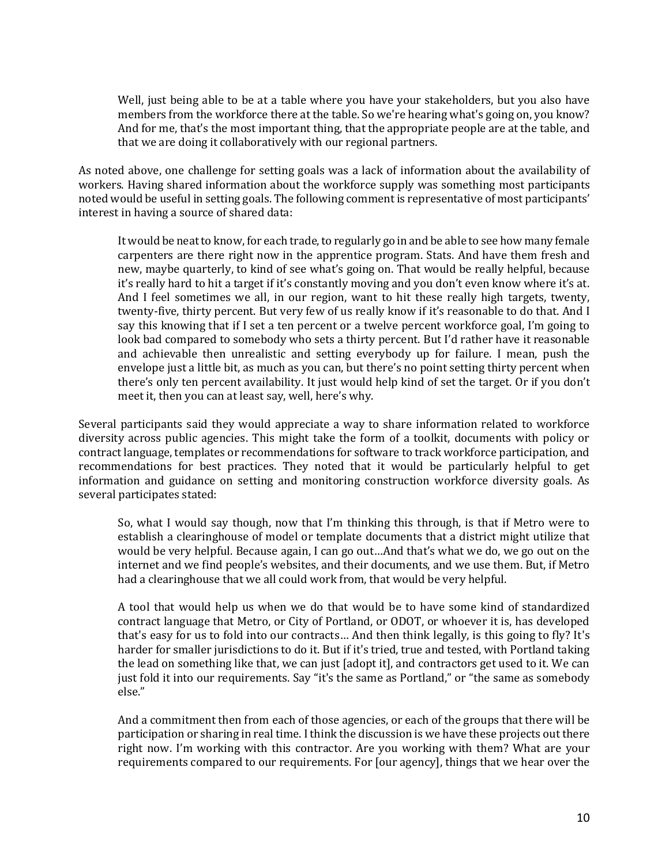Well, just being able to be at a table where you have your stakeholders, but you also have members from the workforce there at the table. So we're hearing what's going on, you know? And for me, that's the most important thing, that the appropriate people are at the table, and that we are doing it collaboratively with our regional partners.

As noted above, one challenge for setting goals was a lack of information about the availability of workers. Having shared information about the workforce supply was something most participants noted would be useful in setting goals. The following comment is representative of most participants' interest in having a source of shared data:

It would be neat to know, for each trade, to regularly go in and be able to see how many female carpenters are there right now in the apprentice program. Stats. And have them fresh and new, maybe quarterly, to kind of see what's going on. That would be really helpful, because it's really hard to hit a target if it's constantly moving and you don't even know where it's at. And I feel sometimes we all, in our region, want to hit these really high targets, twenty, twenty-five, thirty percent. But very few of us really know if it's reasonable to do that. And I say this knowing that if I set a ten percent or a twelve percent workforce goal, I'm going to look bad compared to somebody who sets a thirty percent. But I'd rather have it reasonable and achievable then unrealistic and setting everybody up for failure. I mean, push the envelope just a little bit, as much as you can, but there's no point setting thirty percent when there's only ten percent availability. It just would help kind of set the target. Or if you don't meet it, then you can at least say, well, here's why.

Several participants said they would appreciate a way to share information related to workforce diversity across public agencies. This might take the form of a toolkit, documents with policy or contract language, templates or recommendations for software to track workforce participation, and recommendations for best practices. They noted that it would be particularly helpful to get information and guidance on setting and monitoring construction workforce diversity goals. As several participates stated:

So, what I would say though, now that I'm thinking this through, is that if Metro were to establish a clearinghouse of model or template documents that a district might utilize that would be very helpful. Because again, I can go out…And that's what we do, we go out on the internet and we find people's websites, and their documents, and we use them. But, if Metro had a clearinghouse that we all could work from, that would be very helpful.

A tool that would help us when we do that would be to have some kind of standardized contract language that Metro, or City of Portland, or ODOT, or whoever it is, has developed that's easy for us to fold into our contracts… And then think legally, is this going to fly? It's harder for smaller jurisdictions to do it. But if it's tried, true and tested, with Portland taking the lead on something like that, we can just [adopt it], and contractors get used to it. We can just fold it into our requirements. Say "it's the same as Portland," or "the same as somebody else."

And a commitment then from each of those agencies, or each of the groups that there will be participation or sharing in real time. I think the discussion is we have these projects out there right now. I'm working with this contractor. Are you working with them? What are your requirements compared to our requirements. For [our agency], things that we hear over the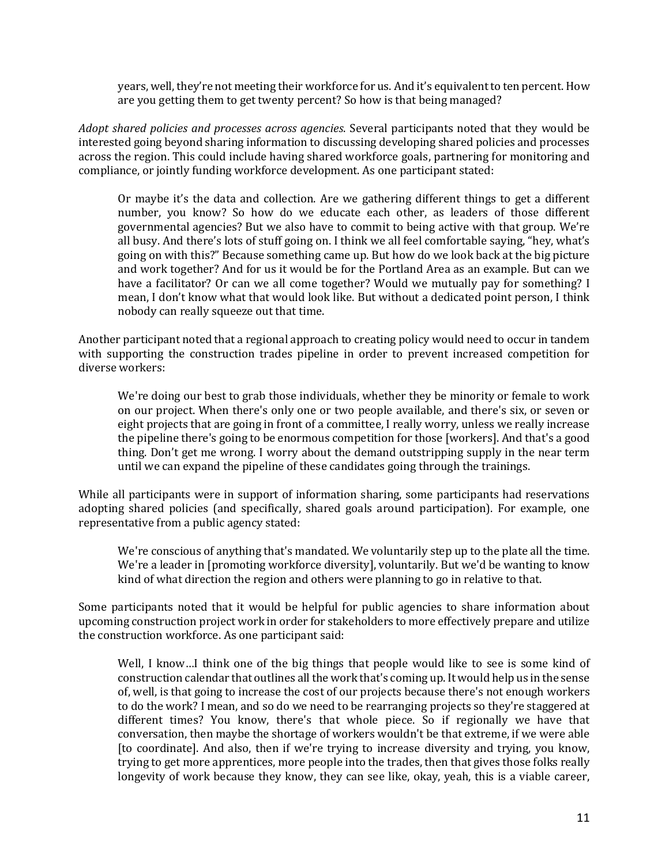years, well, they're not meeting their workforce for us. And it's equivalent to ten percent. How are you getting them to get twenty percent? So how is that being managed?

*Adopt shared policies and processes across agencies*. Several participants noted that they would be interested going beyond sharing information to discussing developing shared policies and processes across the region. This could include having shared workforce goals, partnering for monitoring and compliance, or jointly funding workforce development. As one participant stated:

Or maybe it's the data and collection. Are we gathering different things to get a different number, you know? So how do we educate each other, as leaders of those different governmental agencies? But we also have to commit to being active with that group. We're all busy. And there's lots of stuff going on. I think we all feel comfortable saying, "hey, what's going on with this?" Because something came up. But how do we look back at the big picture and work together? And for us it would be for the Portland Area as an example. But can we have a facilitator? Or can we all come together? Would we mutually pay for something? I mean, I don't know what that would look like. But without a dedicated point person, I think nobody can really squeeze out that time.

Another participant noted that a regional approach to creating policy would need to occur in tandem with supporting the construction trades pipeline in order to prevent increased competition for diverse workers:

We're doing our best to grab those individuals, whether they be minority or female to work on our project. When there's only one or two people available, and there's six, or seven or eight projects that are going in front of a committee, I really worry, unless we really increase the pipeline there's going to be enormous competition for those [workers]. And that's a good thing. Don't get me wrong. I worry about the demand outstripping supply in the near term until we can expand the pipeline of these candidates going through the trainings.

While all participants were in support of information sharing, some participants had reservations adopting shared policies (and specifically, shared goals around participation). For example, one representative from a public agency stated:

We're conscious of anything that's mandated. We voluntarily step up to the plate all the time. We're a leader in [promoting workforce diversity], voluntarily. But we'd be wanting to know kind of what direction the region and others were planning to go in relative to that.

Some participants noted that it would be helpful for public agencies to share information about upcoming construction project work in order for stakeholders to more effectively prepare and utilize the construction workforce. As one participant said:

Well, I know…I think one of the big things that people would like to see is some kind of construction calendar that outlines all the work that's coming up. It would help us in the sense of, well, is that going to increase the cost of our projects because there's not enough workers to do the work? I mean, and so do we need to be rearranging projects so they're staggered at different times? You know, there's that whole piece. So if regionally we have that conversation, then maybe the shortage of workers wouldn't be that extreme, if we were able [to coordinate]. And also, then if we're trying to increase diversity and trying, you know, trying to get more apprentices, more people into the trades, then that gives those folks really longevity of work because they know, they can see like, okay, yeah, this is a viable career,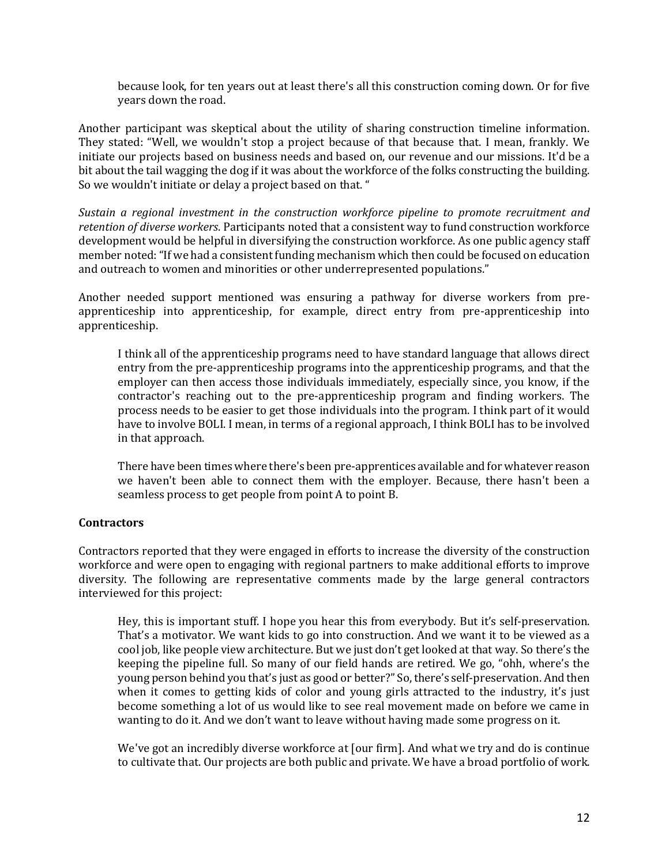because look, for ten years out at least there's all this construction coming down. Or for five years down the road.

Another participant was skeptical about the utility of sharing construction timeline information. They stated: "Well, we wouldn't stop a project because of that because that. I mean, frankly. We initiate our projects based on business needs and based on, our revenue and our missions. It'd be a bit about the tail wagging the dog if it was about the workforce of the folks constructing the building. So we wouldn't initiate or delay a project based on that. "

*Sustain a regional investment in the construction workforce pipeline to promote recruitment and retention of diverse workers*. Participants noted that a consistent way to fund construction workforce development would be helpful in diversifying the construction workforce. As one public agency staff member noted: "If we had a consistent funding mechanism which then could be focused on education and outreach to women and minorities or other underrepresented populations."

Another needed support mentioned was ensuring a pathway for diverse workers from preapprenticeship into apprenticeship, for example, direct entry from pre-apprenticeship into apprenticeship.

I think all of the apprenticeship programs need to have standard language that allows direct entry from the pre-apprenticeship programs into the apprenticeship programs, and that the employer can then access those individuals immediately, especially since, you know, if the contractor's reaching out to the pre-apprenticeship program and finding workers. The process needs to be easier to get those individuals into the program. I think part of it would have to involve BOLI. I mean, in terms of a regional approach, I think BOLI has to be involved in that approach.

There have been times where there's been pre-apprentices available and for whatever reason we haven't been able to connect them with the employer. Because, there hasn't been a seamless process to get people from point A to point B.

#### **Contractors**

Contractors reported that they were engaged in efforts to increase the diversity of the construction workforce and were open to engaging with regional partners to make additional efforts to improve diversity. The following are representative comments made by the large general contractors interviewed for this project:

Hey, this is important stuff. I hope you hear this from everybody. But it's self-preservation. That's a motivator. We want kids to go into construction. And we want it to be viewed as a cool job, like people view architecture. But we just don't get looked at that way. So there's the keeping the pipeline full. So many of our field hands are retired. We go, "ohh, where's the young person behind you that's just as good or better?" So, there's self-preservation. And then when it comes to getting kids of color and young girls attracted to the industry, it's just become something a lot of us would like to see real movement made on before we came in wanting to do it. And we don't want to leave without having made some progress on it.

We've got an incredibly diverse workforce at [our firm]. And what we try and do is continue to cultivate that. Our projects are both public and private. We have a broad portfolio of work.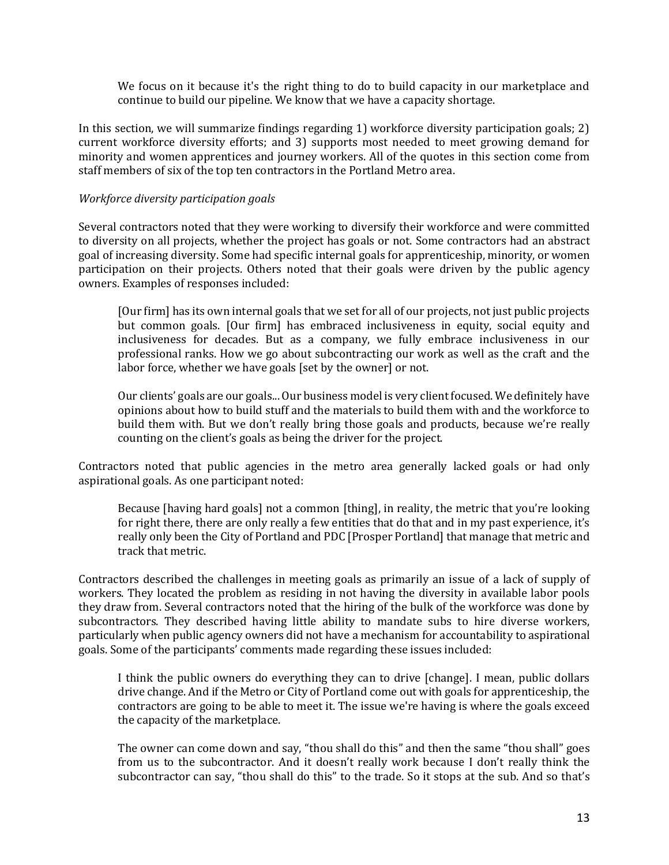We focus on it because it's the right thing to do to build capacity in our marketplace and continue to build our pipeline. We know that we have a capacity shortage.

In this section, we will summarize findings regarding 1) workforce diversity participation goals; 2) current workforce diversity efforts; and 3) supports most needed to meet growing demand for minority and women apprentices and journey workers. All of the quotes in this section come from staff members of six of the top ten contractors in the Portland Metro area.

## *Workforce diversity participation goals*

Several contractors noted that they were working to diversify their workforce and were committed to diversity on all projects, whether the project has goals or not. Some contractors had an abstract goal of increasing diversity. Some had specific internal goals for apprenticeship, minority, or women participation on their projects. Others noted that their goals were driven by the public agency owners. Examples of responses included:

[Our firm] has its own internal goals that we set for all of our projects, not just public projects but common goals. [Our firm] has embraced inclusiveness in equity, social equity and inclusiveness for decades. But as a company, we fully embrace inclusiveness in our professional ranks. How we go about subcontracting our work as well as the craft and the labor force, whether we have goals [set by the owner] or not.

Our clients' goals are our goals... Our business model is very client focused. We definitely have opinions about how to build stuff and the materials to build them with and the workforce to build them with. But we don't really bring those goals and products, because we're really counting on the client's goals as being the driver for the project.

Contractors noted that public agencies in the metro area generally lacked goals or had only aspirational goals. As one participant noted:

Because [having hard goals] not a common [thing], in reality, the metric that you're looking for right there, there are only really a few entities that do that and in my past experience, it's really only been the City of Portland and PDC [Prosper Portland] that manage that metric and track that metric.

Contractors described the challenges in meeting goals as primarily an issue of a lack of supply of workers. They located the problem as residing in not having the diversity in available labor pools they draw from. Several contractors noted that the hiring of the bulk of the workforce was done by subcontractors. They described having little ability to mandate subs to hire diverse workers, particularly when public agency owners did not have a mechanism for accountability to aspirational goals. Some of the participants' comments made regarding these issues included:

I think the public owners do everything they can to drive [change]. I mean, public dollars drive change. And if the Metro or City of Portland come out with goals for apprenticeship, the contractors are going to be able to meet it. The issue we're having is where the goals exceed the capacity of the marketplace.

The owner can come down and say, "thou shall do this" and then the same "thou shall" goes from us to the subcontractor. And it doesn't really work because I don't really think the subcontractor can say, "thou shall do this" to the trade. So it stops at the sub. And so that's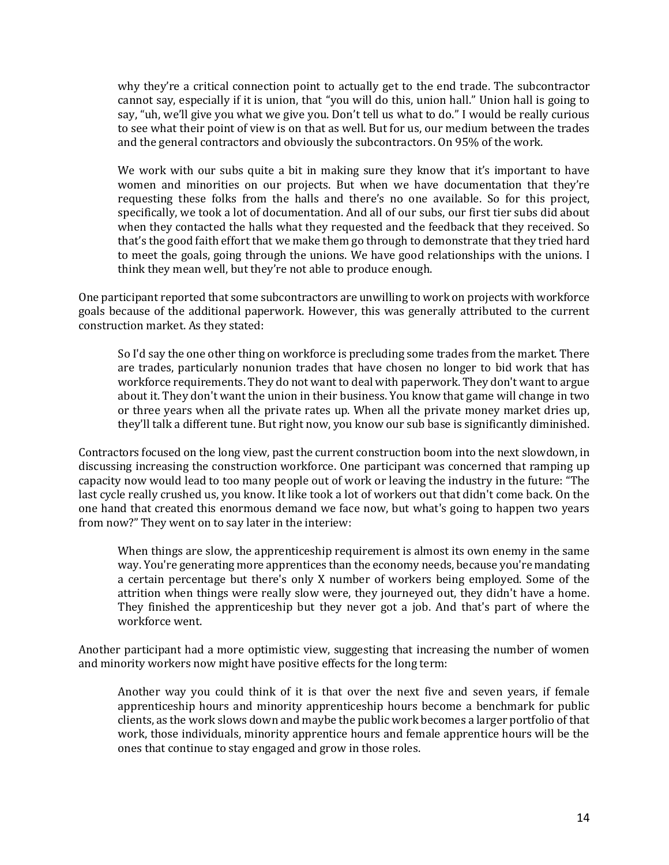why they're a critical connection point to actually get to the end trade. The subcontractor cannot say, especially if it is union, that "you will do this, union hall." Union hall is going to say, "uh, we'll give you what we give you. Don't tell us what to do." I would be really curious to see what their point of view is on that as well. But for us, our medium between the trades and the general contractors and obviously the subcontractors. On 95% of the work.

We work with our subs quite a bit in making sure they know that it's important to have women and minorities on our projects. But when we have documentation that they're requesting these folks from the halls and there's no one available. So for this project, specifically, we took a lot of documentation. And all of our subs, our first tier subs did about when they contacted the halls what they requested and the feedback that they received. So that's the good faith effort that we make them go through to demonstrate that they tried hard to meet the goals, going through the unions. We have good relationships with the unions. I think they mean well, but they're not able to produce enough.

One participant reported that some subcontractors are unwilling to work on projects with workforce goals because of the additional paperwork. However, this was generally attributed to the current construction market. As they stated:

So I'd say the one other thing on workforce is precluding some trades from the market. There are trades, particularly nonunion trades that have chosen no longer to bid work that has workforce requirements. They do not want to deal with paperwork. They don't want to argue about it. They don't want the union in their business. You know that game will change in two or three years when all the private rates up. When all the private money market dries up, they'll talk a different tune. But right now, you know our sub base is significantly diminished.

Contractors focused on the long view, past the current construction boom into the next slowdown, in discussing increasing the construction workforce. One participant was concerned that ramping up capacity now would lead to too many people out of work or leaving the industry in the future: "The last cycle really crushed us, you know. It like took a lot of workers out that didn't come back. On the one hand that created this enormous demand we face now, but what's going to happen two years from now?" They went on to say later in the interiew:

When things are slow, the apprenticeship requirement is almost its own enemy in the same way. You're generating more apprentices than the economy needs, because you're mandating a certain percentage but there's only X number of workers being employed. Some of the attrition when things were really slow were, they journeyed out, they didn't have a home. They finished the apprenticeship but they never got a job. And that's part of where the workforce went.

Another participant had a more optimistic view, suggesting that increasing the number of women and minority workers now might have positive effects for the long term:

Another way you could think of it is that over the next five and seven years, if female apprenticeship hours and minority apprenticeship hours become a benchmark for public clients, as the work slows down and maybe the public work becomes a larger portfolio of that work, those individuals, minority apprentice hours and female apprentice hours will be the ones that continue to stay engaged and grow in those roles.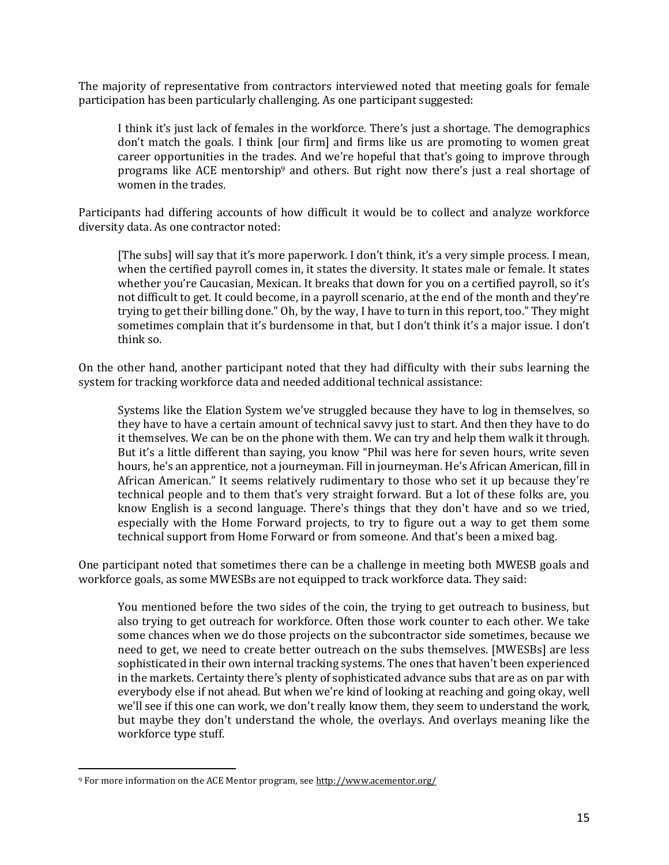The majority of representative from contractors interviewed noted that meeting goals for female participation has been particularly challenging. As one participant suggested:

I think it's just lack of females in the workforce. There's just a shortage. The demographics don't match the goals. I think [our firm] and firms like us are promoting to women great career opportunities in the trades. And we're hopeful that that's going to improve through programs like ACE mentorship<sup>9</sup> and others. But right now there's just a real shortage of women in the trades.

Participants had differing accounts of how difficult it would be to collect and analyze workforce diversity data. As one contractor noted:

[The subs] will say that it's more paperwork. I don't think, it's a very simple process. I mean, when the certified payroll comes in, it states the diversity. It states male or female. It states whether you're Caucasian, Mexican. It breaks that down for you on a certified payroll, so it's not difficult to get. It could become, in a payroll scenario, at the end of the month and they're trying to get their billing done." Oh, by the way, I have to turn in this report, too." They might sometimes complain that it's burdensome in that, but I don't think it's a major issue. I don't think so.

On the other hand, another participant noted that they had difficulty with their subs learning the system for tracking workforce data and needed additional technical assistance:

Systems like the Elation System we've struggled because they have to log in themselves, so they have to have a certain amount of technical savvy just to start. And then they have to do it themselves. We can be on the phone with them. We can try and help them walk it through. But it's a little different than saying, you know "Phil was here for seven hours, write seven hours, he's an apprentice, not a journeyman. Fill in journeyman. He's African American, fill in African American." It seems relatively rudimentary to those who set it up because they're technical people and to them that's very straight forward. But a lot of these folks are, you know English is a second language. There's things that they don't have and so we tried, especially with the Home Forward projects, to try to figure out a way to get them some technical support from Home Forward or from someone. And that's been a mixed bag.

One participant noted that sometimes there can be a challenge in meeting both MWESB goals and workforce goals, as some MWESBs are not equipped to track workforce data. They said:

You mentioned before the two sides of the coin, the trying to get outreach to business, but also trying to get outreach for workforce. Often those work counter to each other. We take some chances when we do those projects on the subcontractor side sometimes, because we need to get, we need to create better outreach on the subs themselves. [MWESBs] are less sophisticated in their own internal tracking systems. The ones that haven't been experienced in the markets. Certainty there's plenty of sophisticated advance subs that are as on par with everybody else if not ahead. But when we're kind of looking at reaching and going okay, well we'll see if this one can work, we don't really know them, they seem to understand the work, but maybe they don't understand the whole, the overlays. And overlays meaning like the workforce type stuff.

 $\overline{a}$ 

<sup>9</sup> For more information on the ACE Mentor program, se[e http://www.acementor.org/](http://www.acementor.org/)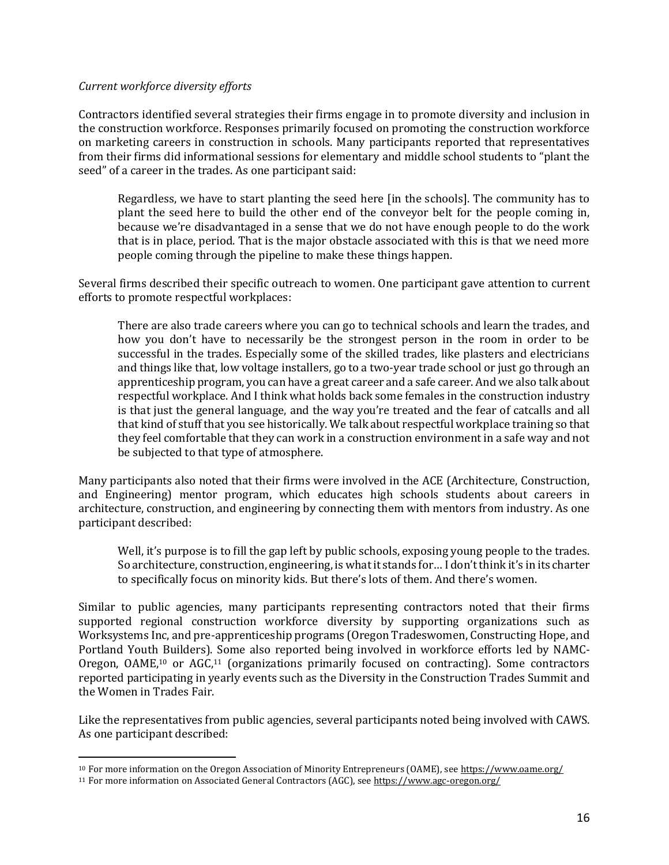#### *Current workforce diversity efforts*

Contractors identified several strategies their firms engage in to promote diversity and inclusion in the construction workforce. Responses primarily focused on promoting the construction workforce on marketing careers in construction in schools. Many participants reported that representatives from their firms did informational sessions for elementary and middle school students to "plant the seed" of a career in the trades. As one participant said:

Regardless, we have to start planting the seed here [in the schools]. The community has to plant the seed here to build the other end of the conveyor belt for the people coming in, because we're disadvantaged in a sense that we do not have enough people to do the work that is in place, period. That is the major obstacle associated with this is that we need more people coming through the pipeline to make these things happen.

Several firms described their specific outreach to women. One participant gave attention to current efforts to promote respectful workplaces:

There are also trade careers where you can go to technical schools and learn the trades, and how you don't have to necessarily be the strongest person in the room in order to be successful in the trades. Especially some of the skilled trades, like plasters and electricians and things like that, low voltage installers, go to a two-year trade school or just go through an apprenticeship program, you can have a great career and a safe career. And we also talk about respectful workplace. And I think what holds back some females in the construction industry is that just the general language, and the way you're treated and the fear of catcalls and all that kind of stuff that you see historically. We talk about respectful workplace training so that they feel comfortable that they can work in a construction environment in a safe way and not be subjected to that type of atmosphere.

Many participants also noted that their firms were involved in the ACE (Architecture, Construction, and Engineering) mentor program, which educates high schools students about careers in architecture, construction, and engineering by connecting them with mentors from industry. As one participant described:

Well, it's purpose is to fill the gap left by public schools, exposing young people to the trades. So architecture, construction, engineering, is what it stands for… I don't think it's in its charter to specifically focus on minority kids. But there's lots of them. And there's women.

Similar to public agencies, many participants representing contractors noted that their firms supported regional construction workforce diversity by supporting organizations such as Worksystems Inc, and pre-apprenticeship programs (Oregon Tradeswomen, Constructing Hope, and Portland Youth Builders). Some also reported being involved in workforce efforts led by NAMC-Oregon, OAME,<sup>10</sup> or AGC,<sup>11</sup> (organizations primarily focused on contracting). Some contractors reported participating in yearly events such as the Diversity in the Construction Trades Summit and the Women in Trades Fair.

Like the representatives from public agencies, several participants noted being involved with CAWS. As one participant described:

 $\overline{a}$ 

<sup>10</sup> For more information on the Oregon Association of Minority Entrepreneurs (OAME), se[e https://www.oame.org/](https://www.oame.org/)

<sup>11</sup> For more information on Associated General Contractors (AGC), se[e https://www.agc-oregon.org/](https://www.agc-oregon.org/)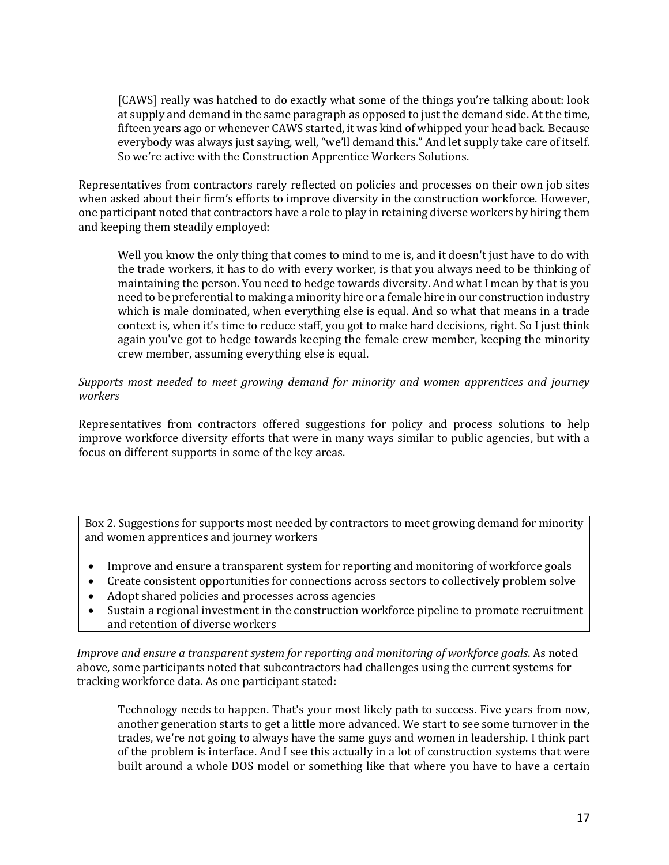[CAWS] really was hatched to do exactly what some of the things you're talking about: look at supply and demand in the same paragraph as opposed to just the demand side. At the time, fifteen years ago or whenever CAWS started, it was kind of whipped your head back. Because everybody was always just saying, well, "we'll demand this." And let supply take care of itself. So we're active with the Construction Apprentice Workers Solutions.

Representatives from contractors rarely reflected on policies and processes on their own job sites when asked about their firm's efforts to improve diversity in the construction workforce. However, one participant noted that contractors have a role to play in retaining diverse workers by hiring them and keeping them steadily employed:

Well you know the only thing that comes to mind to me is, and it doesn't just have to do with the trade workers, it has to do with every worker, is that you always need to be thinking of maintaining the person. You need to hedge towards diversity. And what I mean by that is you need to be preferential to making a minority hire or a female hire in our construction industry which is male dominated, when everything else is equal. And so what that means in a trade context is, when it's time to reduce staff, you got to make hard decisions, right. So I just think again you've got to hedge towards keeping the female crew member, keeping the minority crew member, assuming everything else is equal.

## *Supports most needed to meet growing demand for minority and women apprentices and journey workers*

Representatives from contractors offered suggestions for policy and process solutions to help improve workforce diversity efforts that were in many ways similar to public agencies, but with a focus on different supports in some of the key areas.

Box 2. Suggestions for supports most needed by contractors to meet growing demand for minority and women apprentices and journey workers

- Improve and ensure a transparent system for reporting and monitoring of workforce goals
- Create consistent opportunities for connections across sectors to collectively problem solve
- Adopt shared policies and processes across agencies
- Sustain a regional investment in the construction workforce pipeline to promote recruitment and retention of diverse workers

*Improve and ensure a transparent system for reporting and monitoring of workforce goals*. As noted above, some participants noted that subcontractors had challenges using the current systems for tracking workforce data. As one participant stated:

Technology needs to happen. That's your most likely path to success. Five years from now, another generation starts to get a little more advanced. We start to see some turnover in the trades, we're not going to always have the same guys and women in leadership. I think part of the problem is interface. And I see this actually in a lot of construction systems that were built around a whole DOS model or something like that where you have to have a certain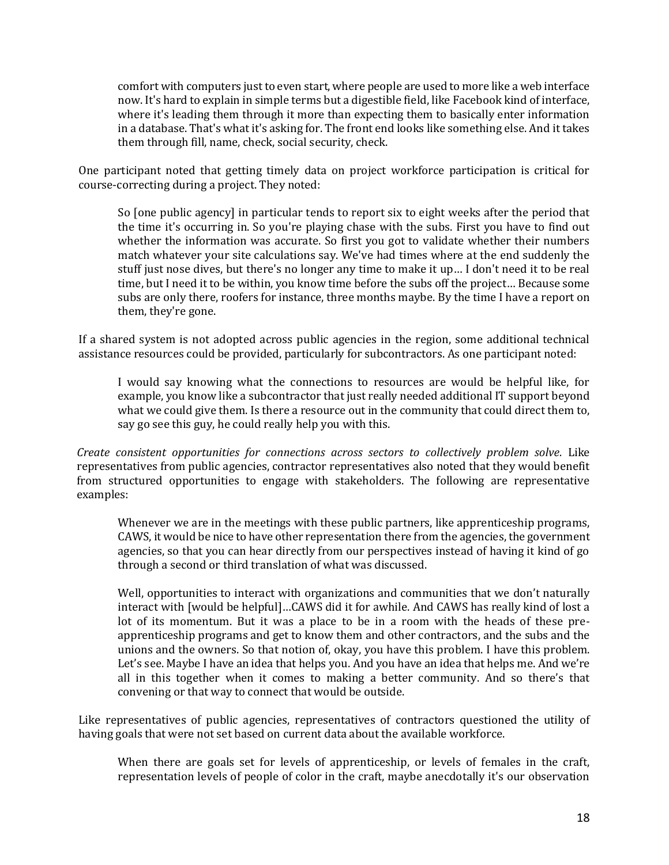comfort with computers just to even start, where people are used to more like a web interface now. It's hard to explain in simple terms but a digestible field, like Facebook kind of interface, where it's leading them through it more than expecting them to basically enter information in a database. That's what it's asking for. The front end looks like something else. And it takes them through fill, name, check, social security, check.

One participant noted that getting timely data on project workforce participation is critical for course-correcting during a project. They noted:

So [one public agency] in particular tends to report six to eight weeks after the period that the time it's occurring in. So you're playing chase with the subs. First you have to find out whether the information was accurate. So first you got to validate whether their numbers match whatever your site calculations say. We've had times where at the end suddenly the stuff just nose dives, but there's no longer any time to make it up… I don't need it to be real time, but I need it to be within, you know time before the subs off the project… Because some subs are only there, roofers for instance, three months maybe. By the time I have a report on them, they're gone.

If a shared system is not adopted across public agencies in the region, some additional technical assistance resources could be provided, particularly for subcontractors. As one participant noted:

I would say knowing what the connections to resources are would be helpful like, for example, you know like a subcontractor that just really needed additional IT support beyond what we could give them. Is there a resource out in the community that could direct them to, say go see this guy, he could really help you with this.

*Create consistent opportunities for connections across sectors to collectively problem solve.* Like representatives from public agencies, contractor representatives also noted that they would benefit from structured opportunities to engage with stakeholders. The following are representative examples:

Whenever we are in the meetings with these public partners, like apprenticeship programs, CAWS, it would be nice to have other representation there from the agencies, the government agencies, so that you can hear directly from our perspectives instead of having it kind of go through a second or third translation of what was discussed.

Well, opportunities to interact with organizations and communities that we don't naturally interact with [would be helpful]…CAWS did it for awhile. And CAWS has really kind of lost a lot of its momentum. But it was a place to be in a room with the heads of these preapprenticeship programs and get to know them and other contractors, and the subs and the unions and the owners. So that notion of, okay, you have this problem. I have this problem. Let's see. Maybe I have an idea that helps you. And you have an idea that helps me. And we're all in this together when it comes to making a better community. And so there's that convening or that way to connect that would be outside.

Like representatives of public agencies, representatives of contractors questioned the utility of having goals that were not set based on current data about the available workforce.

When there are goals set for levels of apprenticeship, or levels of females in the craft, representation levels of people of color in the craft, maybe anecdotally it's our observation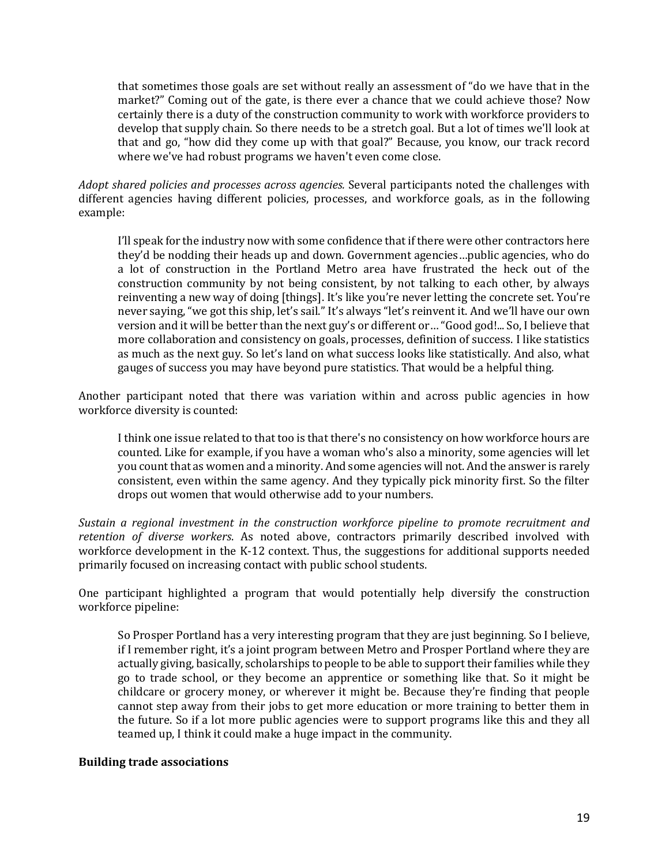that sometimes those goals are set without really an assessment of "do we have that in the market?" Coming out of the gate, is there ever a chance that we could achieve those? Now certainly there is a duty of the construction community to work with workforce providers to develop that supply chain. So there needs to be a stretch goal. But a lot of times we'll look at that and go, "how did they come up with that goal?" Because, you know, our track record where we've had robust programs we haven't even come close.

*Adopt shared policies and processes across agencies.* Several participants noted the challenges with different agencies having different policies, processes, and workforce goals, as in the following example:

I'll speak for the industry now with some confidence that if there were other contractors here they'd be nodding their heads up and down. Government agencies…public agencies, who do a lot of construction in the Portland Metro area have frustrated the heck out of the construction community by not being consistent, by not talking to each other, by always reinventing a new way of doing [things]. It's like you're never letting the concrete set. You're never saying, "we got this ship, let's sail." It's always "let's reinvent it. And we'll have our own version and it will be better than the next guy's or different or… "Good god!... So, I believe that more collaboration and consistency on goals, processes, definition of success. I like statistics as much as the next guy. So let's land on what success looks like statistically. And also, what gauges of success you may have beyond pure statistics. That would be a helpful thing.

Another participant noted that there was variation within and across public agencies in how workforce diversity is counted:

I think one issue related to that too is that there's no consistency on how workforce hours are counted. Like for example, if you have a woman who's also a minority, some agencies will let you count that as women and a minority. And some agencies will not. And the answer is rarely consistent, even within the same agency. And they typically pick minority first. So the filter drops out women that would otherwise add to your numbers.

*Sustain a regional investment in the construction workforce pipeline to promote recruitment and retention of diverse workers*. As noted above, contractors primarily described involved with workforce development in the K-12 context. Thus, the suggestions for additional supports needed primarily focused on increasing contact with public school students.

One participant highlighted a program that would potentially help diversify the construction workforce pipeline:

So Prosper Portland has a very interesting program that they are just beginning. So I believe, if I remember right, it's a joint program between Metro and Prosper Portland where they are actually giving, basically, scholarships to people to be able to support their families while they go to trade school, or they become an apprentice or something like that. So it might be childcare or grocery money, or wherever it might be. Because they're finding that people cannot step away from their jobs to get more education or more training to better them in the future. So if a lot more public agencies were to support programs like this and they all teamed up, I think it could make a huge impact in the community.

#### **Building trade associations**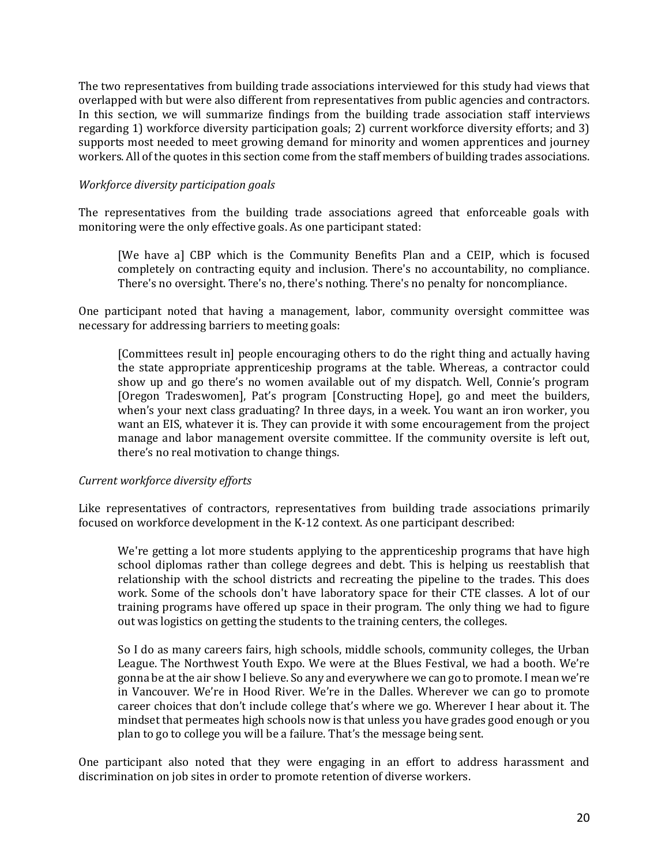The two representatives from building trade associations interviewed for this study had views that overlapped with but were also different from representatives from public agencies and contractors. In this section, we will summarize findings from the building trade association staff interviews regarding 1) workforce diversity participation goals; 2) current workforce diversity efforts; and 3) supports most needed to meet growing demand for minority and women apprentices and journey workers. All of the quotes in this section come from the staff members of building trades associations.

## *Workforce diversity participation goals*

The representatives from the building trade associations agreed that enforceable goals with monitoring were the only effective goals. As one participant stated:

[We have a] CBP which is the Community Benefits Plan and a CEIP, which is focused completely on contracting equity and inclusion. There's no accountability, no compliance. There's no oversight. There's no, there's nothing. There's no penalty for noncompliance.

One participant noted that having a management, labor, community oversight committee was necessary for addressing barriers to meeting goals:

[Committees result in] people encouraging others to do the right thing and actually having the state appropriate apprenticeship programs at the table. Whereas, a contractor could show up and go there's no women available out of my dispatch. Well, Connie's program [Oregon Tradeswomen], Pat's program [Constructing Hope], go and meet the builders, when's your next class graduating? In three days, in a week. You want an iron worker, you want an EIS, whatever it is. They can provide it with some encouragement from the project manage and labor management oversite committee. If the community oversite is left out, there's no real motivation to change things.

# *Current workforce diversity efforts*

Like representatives of contractors, representatives from building trade associations primarily focused on workforce development in the K-12 context. As one participant described:

We're getting a lot more students applying to the apprenticeship programs that have high school diplomas rather than college degrees and debt. This is helping us reestablish that relationship with the school districts and recreating the pipeline to the trades. This does work. Some of the schools don't have laboratory space for their CTE classes. A lot of our training programs have offered up space in their program. The only thing we had to figure out was logistics on getting the students to the training centers, the colleges.

So I do as many careers fairs, high schools, middle schools, community colleges, the Urban League. The Northwest Youth Expo. We were at the Blues Festival, we had a booth. We're gonna be at the air show I believe. So any and everywhere we can go to promote. I mean we're in Vancouver. We're in Hood River. We're in the Dalles. Wherever we can go to promote career choices that don't include college that's where we go. Wherever I hear about it. The mindset that permeates high schools now is that unless you have grades good enough or you plan to go to college you will be a failure. That's the message being sent.

One participant also noted that they were engaging in an effort to address harassment and discrimination on job sites in order to promote retention of diverse workers.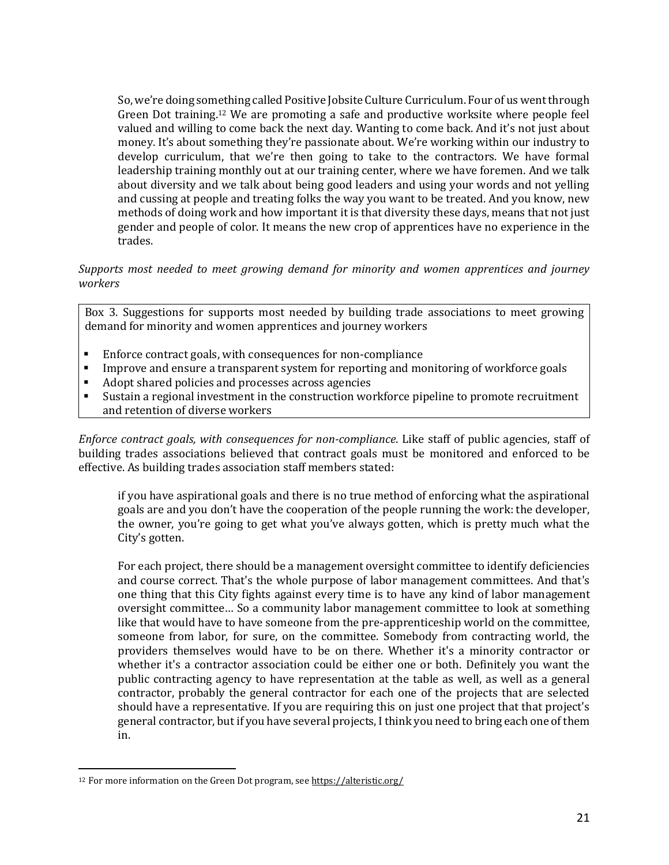So, we're doing something called Positive Jobsite Culture Curriculum. Four of us went through Green Dot training.<sup>12</sup> We are promoting a safe and productive worksite where people feel valued and willing to come back the next day. Wanting to come back. And it's not just about money. It's about something they're passionate about. We're working within our industry to develop curriculum, that we're then going to take to the contractors. We have formal leadership training monthly out at our training center, where we have foremen. And we talk about diversity and we talk about being good leaders and using your words and not yelling and cussing at people and treating folks the way you want to be treated. And you know, new methods of doing work and how important it is that diversity these days, means that not just gender and people of color. It means the new crop of apprentices have no experience in the trades.

## *Supports most needed to meet growing demand for minority and women apprentices and journey workers*

Box 3. Suggestions for supports most needed by building trade associations to meet growing demand for minority and women apprentices and journey workers

- Enforce contract goals, with consequences for non-compliance
- Improve and ensure a transparent system for reporting and monitoring of workforce goals
- Adopt shared policies and processes across agencies
- Sustain a regional investment in the construction workforce pipeline to promote recruitment and retention of diverse workers

*Enforce contract goals, with consequences for non-compliance*. Like staff of public agencies, staff of building trades associations believed that contract goals must be monitored and enforced to be effective. As building trades association staff members stated:

if you have aspirational goals and there is no true method of enforcing what the aspirational goals are and you don't have the cooperation of the people running the work: the developer, the owner, you're going to get what you've always gotten, which is pretty much what the City's gotten.

For each project, there should be a management oversight committee to identify deficiencies and course correct. That's the whole purpose of labor management committees. And that's one thing that this City fights against every time is to have any kind of labor management oversight committee… So a community labor management committee to look at something like that would have to have someone from the pre-apprenticeship world on the committee, someone from labor, for sure, on the committee. Somebody from contracting world, the providers themselves would have to be on there. Whether it's a minority contractor or whether it's a contractor association could be either one or both. Definitely you want the public contracting agency to have representation at the table as well, as well as a general contractor, probably the general contractor for each one of the projects that are selected should have a representative. If you are requiring this on just one project that that project's general contractor, but if you have several projects, I think you need to bring each one of them in.

 $\overline{a}$ 

<sup>&</sup>lt;sup>12</sup> For more information on the Green Dot program, se[e https://alteristic.org/](https://alteristic.org/)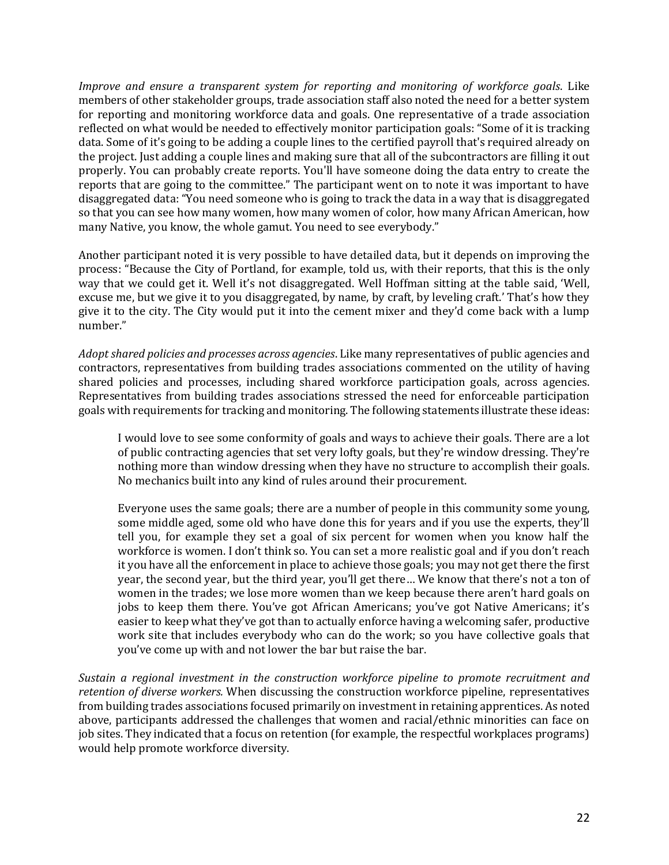*Improve and ensure a transparent system for reporting and monitoring of workforce goals*. Like members of other stakeholder groups, trade association staff also noted the need for a better system for reporting and monitoring workforce data and goals. One representative of a trade association reflected on what would be needed to effectively monitor participation goals: "Some of it is tracking data. Some of it's going to be adding a couple lines to the certified payroll that's required already on the project. Just adding a couple lines and making sure that all of the subcontractors are filling it out properly. You can probably create reports. You'll have someone doing the data entry to create the reports that are going to the committee." The participant went on to note it was important to have disaggregated data: "You need someone who is going to track the data in a way that is disaggregated so that you can see how many women, how many women of color, how many African American, how many Native, you know, the whole gamut. You need to see everybody."

Another participant noted it is very possible to have detailed data, but it depends on improving the process: "Because the City of Portland, for example, told us, with their reports, that this is the only way that we could get it. Well it's not disaggregated. Well Hoffman sitting at the table said, 'Well, excuse me, but we give it to you disaggregated, by name, by craft, by leveling craft.' That's how they give it to the city. The City would put it into the cement mixer and they'd come back with a lump number."

*Adopt shared policies and processes across agencies*. Like many representatives of public agencies and contractors, representatives from building trades associations commented on the utility of having shared policies and processes, including shared workforce participation goals, across agencies. Representatives from building trades associations stressed the need for enforceable participation goals with requirements for tracking and monitoring. The following statements illustrate these ideas:

I would love to see some conformity of goals and ways to achieve their goals. There are a lot of public contracting agencies that set very lofty goals, but they're window dressing. They're nothing more than window dressing when they have no structure to accomplish their goals. No mechanics built into any kind of rules around their procurement.

Everyone uses the same goals; there are a number of people in this community some young, some middle aged, some old who have done this for years and if you use the experts, they'll tell you, for example they set a goal of six percent for women when you know half the workforce is women. I don't think so. You can set a more realistic goal and if you don't reach it you have all the enforcement in place to achieve those goals; you may not get there the first year, the second year, but the third year, you'll get there… We know that there's not a ton of women in the trades; we lose more women than we keep because there aren't hard goals on jobs to keep them there. You've got African Americans; you've got Native Americans; it's easier to keep what they've got than to actually enforce having a welcoming safer, productive work site that includes everybody who can do the work; so you have collective goals that you've come up with and not lower the bar but raise the bar.

*Sustain a regional investment in the construction workforce pipeline to promote recruitment and retention of diverse workers.* When discussing the construction workforce pipeline, representatives from building trades associations focused primarily on investment in retaining apprentices. As noted above, participants addressed the challenges that women and racial/ethnic minorities can face on job sites. They indicated that a focus on retention (for example, the respectful workplaces programs) would help promote workforce diversity.